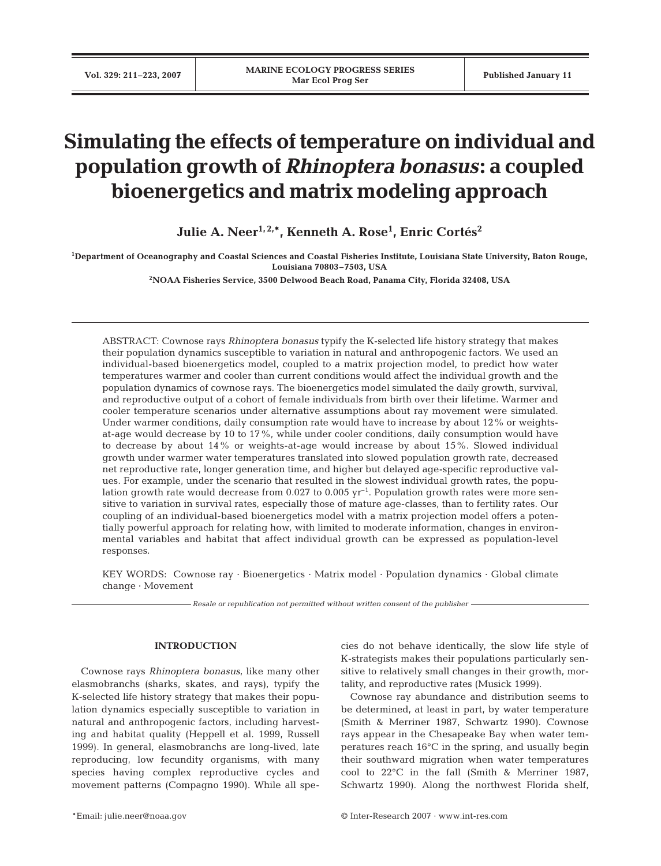# **Simulating the effects of temperature on individual and population growth of** *Rhinoptera bonasus***: a coupled bioenergetics and matrix modeling approach**

Julie A. Neer<sup>1,2,</sup>\*, Kenneth A. Rose<sup>1</sup>, Enric Cortés<sup>2</sup>

**1 Department of Oceanography and Coastal Sciences and Coastal Fisheries Institute, Louisiana State University, Baton Rouge, Louisiana 70803–7503, USA** 

**2NOAA Fisheries Service, 3500 Delwood Beach Road, Panama City, Florida 32408, USA**

ABSTRACT: Cownose rays *Rhinoptera bonasus* typify the K-selected life history strategy that makes their population dynamics susceptible to variation in natural and anthropogenic factors. We used an individual-based bioenergetics model, coupled to a matrix projection model, to predict how water temperatures warmer and cooler than current conditions would affect the individual growth and the population dynamics of cownose rays. The bioenergetics model simulated the daily growth, survival, and reproductive output of a cohort of female individuals from birth over their lifetime. Warmer and cooler temperature scenarios under alternative assumptions about ray movement were simulated. Under warmer conditions, daily consumption rate would have to increase by about 12% or weightsat-age would decrease by 10 to 17%, while under cooler conditions, daily consumption would have to decrease by about 14% or weights-at-age would increase by about 15%. Slowed individual growth under warmer water temperatures translated into slowed population growth rate, decreased net reproductive rate, longer generation time, and higher but delayed age-specific reproductive values. For example, under the scenario that resulted in the slowest individual growth rates, the population growth rate would decrease from  $0.027$  to  $0.005$  yr<sup>-1</sup>. Population growth rates were more sensitive to variation in survival rates, especially those of mature age-classes, than to fertility rates. Our coupling of an individual-based bioenergetics model with a matrix projection model offers a potentially powerful approach for relating how, with limited to moderate information, changes in environmental variables and habitat that affect individual growth can be expressed as population-level responses.

KEY WORDS: Cownose ray · Bioenergetics · Matrix model · Population dynamics · Global climate change · Movement

*Resale or republication not permitted without written consent of the publisher*

## **INTRODUCTION**

Cownose rays *Rhinoptera bonasus*, like many other elasmobranchs (sharks, skates, and rays), typify the K-selected life history strategy that makes their population dynamics especially susceptible to variation in natural and anthropogenic factors, including harvesting and habitat quality (Heppell et al. 1999, Russell 1999). In general, elasmobranchs are long-lived, late reproducing, low fecundity organisms, with many species having complex reproductive cycles and movement patterns (Compagno 1990). While all species do not behave identically, the slow life style of K-strategists makes their populations particularly sensitive to relatively small changes in their growth, mortality, and reproductive rates (Musick 1999).

Cownose ray abundance and distribution seems to be determined, at least in part, by water temperature (Smith & Merriner 1987, Schwartz 1990). Cownose rays appear in the Chesapeake Bay when water temperatures reach 16°C in the spring, and usually begin their southward migration when water temperatures cool to 22°C in the fall (Smith & Merriner 1987, Schwartz 1990). Along the northwest Florida shelf,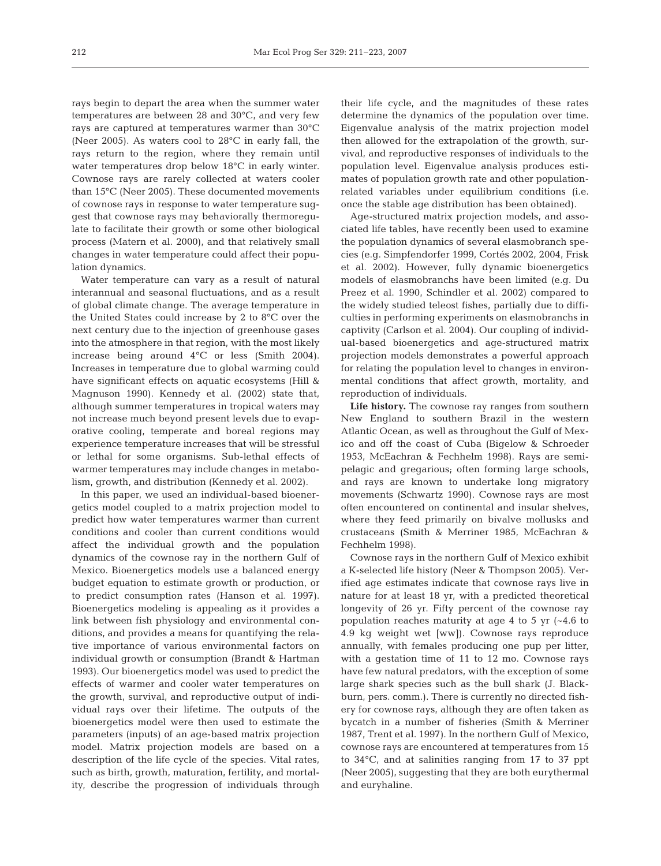rays begin to depart the area when the summer water temperatures are between 28 and 30°C, and very few rays are captured at temperatures warmer than 30°C (Neer 2005). As waters cool to 28°C in early fall, the rays return to the region, where they remain until water temperatures drop below 18°C in early winter. Cownose rays are rarely collected at waters cooler than 15°C (Neer 2005). These documented movements of cownose rays in response to water temperature suggest that cownose rays may behaviorally thermoregulate to facilitate their growth or some other biological process (Matern et al. 2000), and that relatively small changes in water temperature could affect their population dynamics.

Water temperature can vary as a result of natural interannual and seasonal fluctuations, and as a result of global climate change. The average temperature in the United States could increase by 2 to 8°C over the next century due to the injection of greenhouse gases into the atmosphere in that region, with the most likely increase being around 4°C or less (Smith 2004). Increases in temperature due to global warming could have significant effects on aquatic ecosystems (Hill & Magnuson 1990). Kennedy et al. (2002) state that, although summer temperatures in tropical waters may not increase much beyond present levels due to evaporative cooling, temperate and boreal regions may experience temperature increases that will be stressful or lethal for some organisms. Sub-lethal effects of warmer temperatures may include changes in metabolism, growth, and distribution (Kennedy et al. 2002).

In this paper, we used an individual-based bioenergetics model coupled to a matrix projection model to predict how water temperatures warmer than current conditions and cooler than current conditions would affect the individual growth and the population dynamics of the cownose ray in the northern Gulf of Mexico. Bioenergetics models use a balanced energy budget equation to estimate growth or production, or to predict consumption rates (Hanson et al. 1997). Bioenergetics modeling is appealing as it provides a link between fish physiology and environmental conditions, and provides a means for quantifying the relative importance of various environmental factors on individual growth or consumption (Brandt & Hartman 1993). Our bioenergetics model was used to predict the effects of warmer and cooler water temperatures on the growth, survival, and reproductive output of individual rays over their lifetime. The outputs of the bioenergetics model were then used to estimate the parameters (inputs) of an age-based matrix projection model. Matrix projection models are based on a description of the life cycle of the species. Vital rates, such as birth, growth, maturation, fertility, and mortality, describe the progression of individuals through their life cycle, and the magnitudes of these rates determine the dynamics of the population over time. Eigenvalue analysis of the matrix projection model then allowed for the extrapolation of the growth, survival, and reproductive responses of individuals to the population level. Eigenvalue analysis produces estimates of population growth rate and other populationrelated variables under equilibrium conditions (i.e. once the stable age distribution has been obtained).

Age-structured matrix projection models, and associated life tables, have recently been used to examine the population dynamics of several elasmobranch species (e.g. Simpfendorfer 1999, Cortés 2002, 2004, Frisk et al. 2002). However, fully dynamic bioenergetics models of elasmobranchs have been limited (e.g. Du Preez et al. 1990, Schindler et al. 2002) compared to the widely studied teleost fishes, partially due to difficulties in performing experiments on elasmobranchs in captivity (Carlson et al. 2004). Our coupling of individual-based bioenergetics and age-structured matrix projection models demonstrates a powerful approach for relating the population level to changes in environmental conditions that affect growth, mortality, and reproduction of individuals.

**Life history.** The cownose ray ranges from southern New England to southern Brazil in the western Atlantic Ocean, as well as throughout the Gulf of Mexico and off the coast of Cuba (Bigelow & Schroeder 1953, McEachran & Fechhelm 1998). Rays are semipelagic and gregarious; often forming large schools, and rays are known to undertake long migratory movements (Schwartz 1990). Cownose rays are most often encountered on continental and insular shelves, where they feed primarily on bivalve mollusks and crustaceans (Smith & Merriner 1985, McEachran & Fechhelm 1998).

Cownose rays in the northern Gulf of Mexico exhibit a K-selected life history (Neer & Thompson 2005). Verified age estimates indicate that cownose rays live in nature for at least 18 yr, with a predicted theoretical longevity of 26 yr. Fifty percent of the cownose ray population reaches maturity at age 4 to 5 yr (~4.6 to 4.9 kg weight wet [ww]). Cownose rays reproduce annually, with females producing one pup per litter, with a gestation time of 11 to 12 mo. Cownose rays have few natural predators, with the exception of some large shark species such as the bull shark (J. Blackburn, pers. comm.). There is currently no directed fishery for cownose rays, although they are often taken as bycatch in a number of fisheries (Smith & Merriner 1987, Trent et al. 1997). In the northern Gulf of Mexico, cownose rays are encountered at temperatures from 15 to 34°C, and at salinities ranging from 17 to 37 ppt (Neer 2005), suggesting that they are both eurythermal and euryhaline.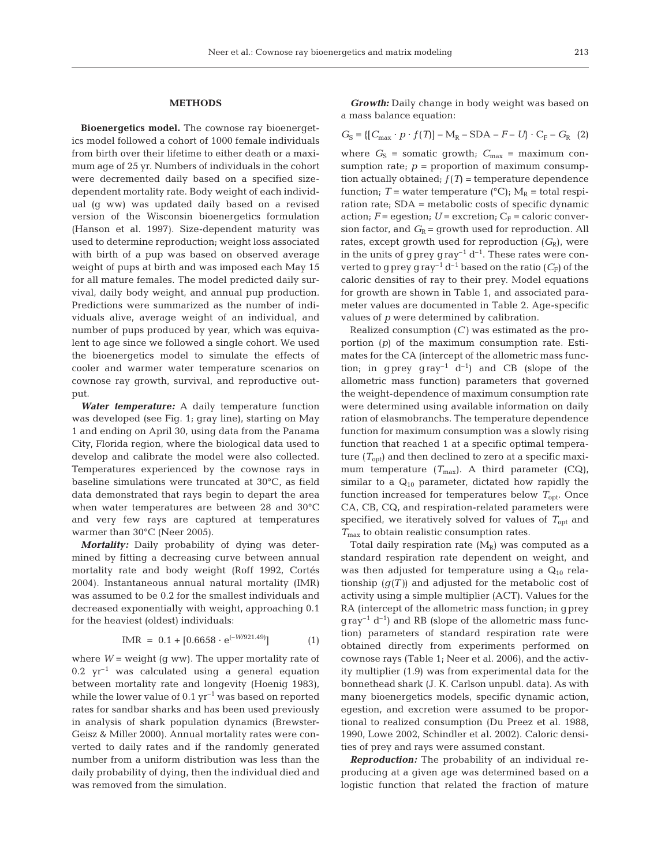### **METHODS**

**Bioenergetics model.** The cownose ray bioenergetics model followed a cohort of 1000 female individuals from birth over their lifetime to either death or a maximum age of 25 yr. Numbers of individuals in the cohort were decremented daily based on a specified sizedependent mortality rate. Body weight of each individual (g ww) was updated daily based on a revised version of the Wisconsin bioenergetics formulation (Hanson et al. 1997). Size-dependent maturity was used to determine reproduction; weight loss associated with birth of a pup was based on observed average weight of pups at birth and was imposed each May 15 for all mature females. The model predicted daily survival, daily body weight, and annual pup production. Predictions were summarized as the number of individuals alive, average weight of an individual, and number of pups produced by year, which was equivalent to age since we followed a single cohort. We used the bioenergetics model to simulate the effects of cooler and warmer water temperature scenarios on cownose ray growth, survival, and reproductive output.

*Water temperature:* A daily temperature function was developed (see Fig. 1; gray line), starting on May 1 and ending on April 30, using data from the Panama City, Florida region, where the biological data used to develop and calibrate the model were also collected. Temperatures experienced by the cownose rays in baseline simulations were truncated at 30°C, as field data demonstrated that rays begin to depart the area when water temperatures are between 28 and 30°C and very few rays are captured at temperatures warmer than 30°C (Neer 2005).

*Mortality:* Daily probability of dying was determined by fitting a decreasing curve between annual mortality rate and body weight (Roff 1992, Cortés 2004). Instantaneous annual natural mortality (IMR) was assumed to be 0.2 for the smallest individuals and decreased exponentially with weight, approaching 0.1 for the heaviest (oldest) individuals:

$$
IMR = 0.1 + [0.6658 \cdot e^{(-W/921.49)}]
$$
 (1)

where  $W =$  weight (g ww). The upper mortality rate of  $0.2 \text{ yr}^{-1}$  was calculated using a general equation between mortality rate and longevity (Hoenig 1983), while the lower value of  $0.1 \, \text{yr}^{-1}$  was based on reported rates for sandbar sharks and has been used previously in analysis of shark population dynamics (Brewster-Geisz & Miller 2000). Annual mortality rates were converted to daily rates and if the randomly generated number from a uniform distribution was less than the daily probability of dying, then the individual died and was removed from the simulation.

*Growth:* Daily change in body weight was based on a mass balance equation:

$$
G_{\rm S} = \{ [C_{\rm max} \cdot p \cdot f(T)] - M_{\rm R} - \text{SDA} - F - U \} \cdot C_{\rm F} - G_{\rm R} \tag{2}
$$

where  $G_S$  = somatic growth;  $C_{\text{max}}$  = maximum consumption rate;  $p =$  proportion of maximum consumption actually obtained;  $f(T)$  = temperature dependence function; *T* = water temperature ( $^{\circ}$ C);  $M_R$  = total respiration rate; SDA = metabolic costs of specific dynamic action;  $F =$  egestion;  $U =$  excretion;  $C_F =$  caloric conversion factor, and  $G_R$  = growth used for reproduction. All rates, except growth used for reproduction  $(G_{\rm R})$ , were in the units of gprey gray<sup>-1</sup>  $d^{-1}$ . These rates were converted to g prey gray<sup>-1</sup> d<sup>-1</sup> based on the ratio  $(C_F)$  of the caloric densities of ray to their prey. Model equations for growth are shown in Table 1, and associated parameter values are documented in Table 2. Age-specific values of *p* were determined by calibration.

Realized consumption (*C)* was estimated as the proportion (*p*) of the maximum consumption rate. Estimates for the CA (intercept of the allometric mass function; in gprey gray<sup>-1</sup> d<sup>-1</sup>) and CB (slope of the allometric mass function) parameters that governed the weight-dependence of maximum consumption rate were determined using available information on daily ration of elasmobranchs. The temperature dependence function for maximum consumption was a slowly rising function that reached 1 at a specific optimal temperature  $(T_{\text{out}})$  and then declined to zero at a specific maximum temperature  $(T_{\text{max}})$ . A third parameter  $(CQ)$ , similar to a  $Q_{10}$  parameter, dictated how rapidly the function increased for temperatures below  $T_{\text{opt}}$ . Once CA, CB, CQ, and respiration-related parameters were specified, we iteratively solved for values of  $T_{\text{opt}}$  and *T*max to obtain realistic consumption rates.

Total daily respiration rate  $(M_R)$  was computed as a standard respiration rate dependent on weight, and was then adjusted for temperature using a  $Q_{10}$  relationship  $(g(T))$  and adjusted for the metabolic cost of activity using a simple multiplier (ACT). Values for the RA (intercept of the allometric mass function; in gprey  $q \, \text{ray}^{-1} \, \text{d}^{-1}$ ) and RB (slope of the allometric mass function) parameters of standard respiration rate were obtained directly from experiments performed on cownose rays (Table 1; Neer et al. 2006), and the activity multiplier (1.9) was from experimental data for the bonnethead shark (J. K. Carlson unpubl. data). As with many bioenergetics models, specific dynamic action, egestion, and excretion were assumed to be proportional to realized consumption (Du Preez et al. 1988, 1990, Lowe 2002, Schindler et al. 2002). Caloric densities of prey and rays were assumed constant.

*Reproduction:* The probability of an individual reproducing at a given age was determined based on a logistic function that related the fraction of mature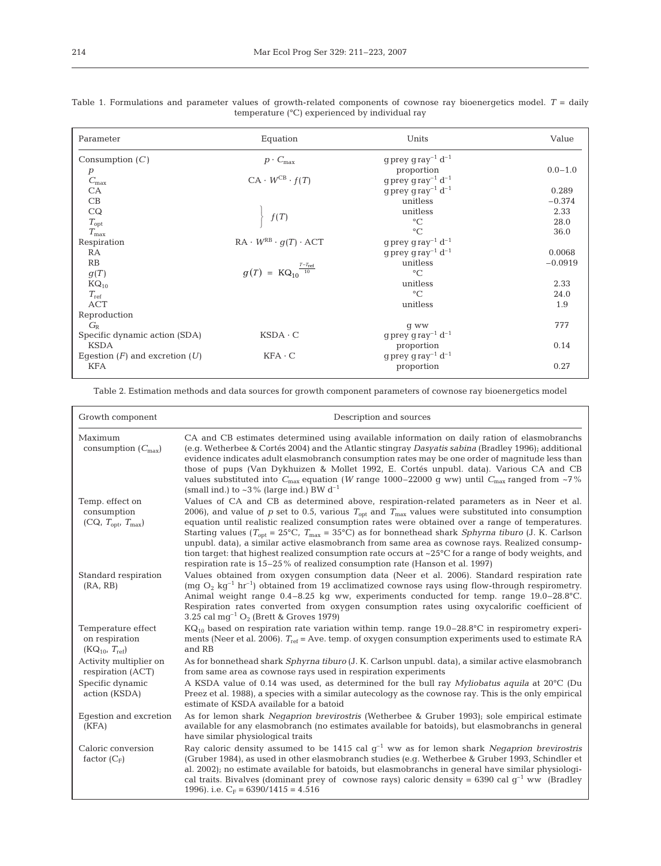| Parameter                          | Equation                                       | Units                                          | Value       |
|------------------------------------|------------------------------------------------|------------------------------------------------|-------------|
| Consumption $(C)$                  | $p \cdot C_{\max}$                             | $g$ prey $g$ ray <sup>-1</sup> d <sup>-1</sup> |             |
|                                    |                                                | proportion                                     | $0.0 - 1.0$ |
| $\stackrel{D}{C}_{\max}$           | $CA \cdot W^{CB} \cdot f(T)$                   | $g$ prey $g$ ray <sup>-1</sup> d <sup>-1</sup> |             |
| ${\rm CA}$                         |                                                | g prey gray <sup>-1</sup> $d^{-1}$             | 0.289       |
| CB                                 |                                                | unitless                                       | $-0.374$    |
| CQ                                 |                                                | unitless                                       | 2.33        |
| $T_{\rm opt}$                      | f(T)                                           | $\rm ^{\circ}C$                                | 28.0        |
| $T_{\rm max}$                      |                                                | $\rm ^{\circ}C$                                | 36.0        |
| Respiration                        | $RA \cdot W^{RB} \cdot g(T) \cdot ACT$         | $g$ prey $g$ ray <sup>-1</sup> d <sup>-1</sup> |             |
| <b>RA</b>                          |                                                | $g$ prey $g$ ray <sup>-1</sup> d <sup>-1</sup> | 0.0068      |
| RB                                 |                                                | unitless                                       | $-0.0919$   |
| g(T)                               | $g(T) = KQ_{10}^{\frac{T-T_{\text{ref}}}{10}}$ | $\circ$ C                                      |             |
| $KQ_{10}$                          |                                                | unitless                                       | 2.33        |
| $T_{\rm ref}$                      |                                                | $\rm ^{\circ}C$                                | 24.0        |
| <b>ACT</b>                         |                                                | unitless                                       | 1.9         |
| Reproduction                       |                                                |                                                |             |
| $G_{\rm R}$                        |                                                | g ww                                           | 777         |
| Specific dynamic action (SDA)      | $KSDA \cdot C$                                 | $g$ prey $g$ ray <sup>-1</sup> d <sup>-1</sup> |             |
| <b>KSDA</b>                        |                                                | proportion                                     | 0.14        |
| Egestion $(F)$ and excretion $(U)$ | $KFA \cdot C$                                  | g prey gray <sup>-1</sup> $d^{-1}$             |             |
| <b>KFA</b>                         |                                                | proportion                                     | 0.27        |
|                                    |                                                |                                                |             |

Table 1. Formulations and parameter values of growth-related components of cownose ray bioenergetics model. *T* = daily temperature (°C) experienced by individual ray

Table 2. Estimation methods and data sources for growth component parameters of cownose ray bioenergetics model

| Growth component                                             | Description and sources                                                                                                                                                                                                                                                                                                                                                                                                                                                                                                                                                                                                                                                                                                                                                                              |
|--------------------------------------------------------------|------------------------------------------------------------------------------------------------------------------------------------------------------------------------------------------------------------------------------------------------------------------------------------------------------------------------------------------------------------------------------------------------------------------------------------------------------------------------------------------------------------------------------------------------------------------------------------------------------------------------------------------------------------------------------------------------------------------------------------------------------------------------------------------------------|
| Maximum<br>consumption $(C_{\text{max}})$                    | CA and CB estimates determined using available information on daily ration of elasmobranchs<br>(e.g. Wetherbee & Cortés 2004) and the Atlantic stingray Dasyatis sabina (Bradley 1996); additional<br>evidence indicates adult elasmobranch consumption rates may be one order of magnitude less than<br>those of pups (Van Dykhuizen & Mollet 1992, E. Cortés unpubl. data). Various CA and CB<br>values substituted into $C_{\text{max}}$ equation ( <i>W</i> range 1000–22000 g ww) until $C_{\text{max}}$ ranged from ~7%<br>(small ind.) to $\sim$ 3% (large ind.) BW d <sup>-1</sup>                                                                                                                                                                                                           |
| Temp. effect on<br>consumption<br>$(CQ, T_{opt}, T_{max})$   | Values of CA and CB as determined above, respiration-related parameters as in Neer et al.<br>2006), and value of p set to 0.5, various $T_{\text{opt}}$ and $T_{\text{max}}$ values were substituted into consumption<br>equation until realistic realized consumption rates were obtained over a range of temperatures.<br>Starting values ( $T_{\text{opt}} = 25^{\circ}\text{C}$ , $T_{\text{max}} = 35^{\circ}\text{C}$ ) as for bonnethead shark <i>Sphyrna tiburo</i> (J. K. Carlson<br>unpubl. data), a similar active elasmobranch from same area as cownose rays. Realized consump-<br>tion target: that highest realized consumption rate occurs at $\sim$ 25 $\degree$ C for a range of body weights, and<br>respiration rate is 15–25% of realized consumption rate (Hanson et al. 1997) |
| Standard respiration<br>(RA, RB)                             | Values obtained from oxygen consumption data (Neer et al. 2006). Standard respiration rate<br>(mq $O_2$ kg <sup>-1</sup> hr <sup>-1</sup> ) obtained from 19 acclimatized cownose rays using flow-through respiremetry.<br>Animal weight range $0.4-8.25$ kg ww, experiments conducted for temp. range $19.0-28.8$ °C.<br>Respiration rates converted from oxygen consumption rates using oxycalorific coefficient of<br>3.25 cal mg <sup>-1</sup> $O_2$ (Brett & Groves 1979)                                                                                                                                                                                                                                                                                                                       |
| Temperature effect<br>on respiration<br>$(KQ_{10}, T_{ref})$ | $\text{KQ}_{10}$ based on respiration rate variation within temp. range 19.0–28.8°C in respirometry experi-<br>ments (Neer et al. 2006). $T_{\text{ref}}$ = Ave. temp. of oxygen consumption experiments used to estimate RA<br>and RB                                                                                                                                                                                                                                                                                                                                                                                                                                                                                                                                                               |
| Activity multiplier on<br>respiration (ACT)                  | As for bonnethead shark Sphyrna tiburo (J. K. Carlson unpubl. data), a similar active elasmobranch<br>from same area as cownose rays used in respiration experiments                                                                                                                                                                                                                                                                                                                                                                                                                                                                                                                                                                                                                                 |
| Specific dynamic<br>action (KSDA)                            | A KSDA value of 0.14 was used, as determined for the bull ray Myliobatus aquila at $20^{\circ}$ C (Du<br>Preez et al. 1988), a species with a similar autecology as the cownose ray. This is the only empirical<br>estimate of KSDA available for a batoid                                                                                                                                                                                                                                                                                                                                                                                                                                                                                                                                           |
| Egestion and excretion<br>(KFA)                              | As for lemon shark Negaprion brevirostris (Wetherbee & Gruber 1993); sole empirical estimate<br>available for any elasmobranch (no estimates available for batoids), but elasmobranchs in general<br>have similar physiological traits                                                                                                                                                                                                                                                                                                                                                                                                                                                                                                                                                               |
| Caloric conversion<br>factor $(C_F)$                         | Ray caloric density assumed to be 1415 cal $g^{-1}$ ww as for lemon shark Negaprion brevirostris<br>(Gruber 1984), as used in other elasmobranch studies (e.g. Wetherbee & Gruber 1993, Schindler et<br>al. 2002); no estimate available for batoids, but elasmobranchs in general have similar physiologi-<br>cal traits. Bivalves (dominant prey of cownose rays) caloric density = 6390 cal $g^{-1}$ ww (Bradley<br>1996). i.e. $C_F = 6390/1415 = 4.516$                                                                                                                                                                                                                                                                                                                                         |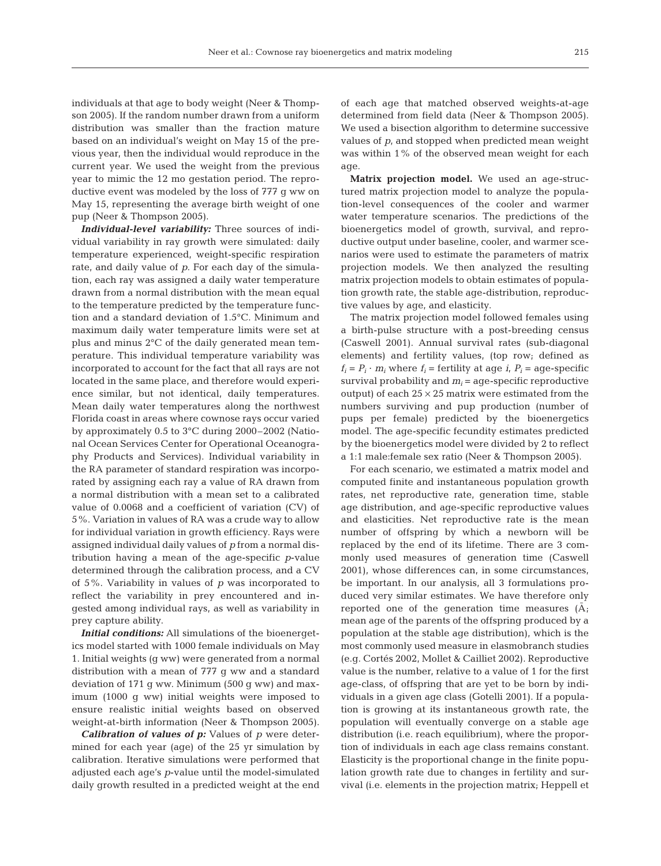individuals at that age to body weight (Neer & Thompson 2005). If the random number drawn from a uniform distribution was smaller than the fraction mature based on an individual's weight on May 15 of the previous year, then the individual would reproduce in the current year. We used the weight from the previous year to mimic the 12 mo gestation period. The reproductive event was modeled by the loss of 777 g ww on May 15, representing the average birth weight of one pup (Neer & Thompson 2005).

*Individual-level variability:* Three sources of individual variability in ray growth were simulated: daily temperature experienced, weight-specific respiration rate, and daily value of *p*. For each day of the simulation, each ray was assigned a daily water temperature drawn from a normal distribution with the mean equal to the temperature predicted by the temperature function and a standard deviation of 1.5°C. Minimum and maximum daily water temperature limits were set at plus and minus 2°C of the daily generated mean temperature. This individual temperature variability was incorporated to account for the fact that all rays are not located in the same place, and therefore would experience similar, but not identical, daily temperatures. Mean daily water temperatures along the northwest Florida coast in areas where cownose rays occur varied by approximately 0.5 to 3°C during 2000–2002 (National Ocean Services Center for Operational Oceanography Products and Services). Individual variability in the RA parameter of standard respiration was incorporated by assigning each ray a value of RA drawn from a normal distribution with a mean set to a calibrated value of 0.0068 and a coefficient of variation (CV) of 5%. Variation in values of RA was a crude way to allow for individual variation in growth efficiency. Rays were assigned individual daily values of *p* from a normal distribution having a mean of the age-specific *p*-value determined through the calibration process, and a CV of 5%. Variability in values of *p* was incorporated to reflect the variability in prey encountered and ingested among individual rays, as well as variability in prey capture ability.

*Initial conditions:* All simulations of the bioenergetics model started with 1000 female individuals on May 1. Initial weights (g ww) were generated from a normal distribution with a mean of 777 g ww and a standard deviation of 171 g ww. Minimum (500 g ww) and maximum (1000 g ww) initial weights were imposed to ensure realistic initial weights based on observed weight-at-birth information (Neer & Thompson 2005).

*Calibration of values of p:* Values of *p* were determined for each year (age) of the 25 yr simulation by calibration. Iterative simulations were performed that adjusted each age's *p*-value until the model-simulated daily growth resulted in a predicted weight at the end

of each age that matched observed weights-at-age determined from field data (Neer & Thompson 2005). We used a bisection algorithm to determine successive values of *p*, and stopped when predicted mean weight was within 1% of the observed mean weight for each age.

**Matrix projection model.** We used an age-structured matrix projection model to analyze the population-level consequences of the cooler and warmer water temperature scenarios. The predictions of the bioenergetics model of growth, survival, and reproductive output under baseline, cooler, and warmer scenarios were used to estimate the parameters of matrix projection models. We then analyzed the resulting matrix projection models to obtain estimates of population growth rate, the stable age-distribution, reproductive values by age, and elasticity.

The matrix projection model followed females using a birth-pulse structure with a post-breeding census (Caswell 2001). Annual survival rates (sub-diagonal elements) and fertility values, (top row; defined as  $f_i = P_i \cdot m_i$  where  $f_i$  = fertility at age  $i$ ,  $P_i$  = age-specific survival probability and  $m<sub>i</sub>$  = age-specific reproductive output) of each  $25 \times 25$  matrix were estimated from the numbers surviving and pup production (number of pups per female) predicted by the bioenergetics model. The age-specific fecundity estimates predicted by the bioenergetics model were divided by 2 to reflect a 1:1 male:female sex ratio (Neer & Thompson 2005).

For each scenario, we estimated a matrix model and computed finite and instantaneous population growth rates, net reproductive rate, generation time, stable age distribution, and age-specific reproductive values and elasticities. Net reproductive rate is the mean number of offspring by which a newborn will be replaced by the end of its lifetime. There are 3 commonly used measures of generation time (Caswell 2001), whose differences can, in some circumstances, be important. In our analysis, all 3 formulations produced very similar estimates. We have therefore only reported one of the generation time measures  $(A;$ mean age of the parents of the offspring produced by a population at the stable age distribution), which is the most commonly used measure in elasmobranch studies (e.g. Cortés 2002, Mollet & Cailliet 2002). Reproductive value is the number, relative to a value of 1 for the first age-class, of offspring that are yet to be born by individuals in a given age class (Gotelli 2001). If a population is growing at its instantaneous growth rate, the population will eventually converge on a stable age distribution (i.e. reach equilibrium), where the proportion of individuals in each age class remains constant. Elasticity is the proportional change in the finite population growth rate due to changes in fertility and survival (i.e. elements in the projection matrix; Heppell et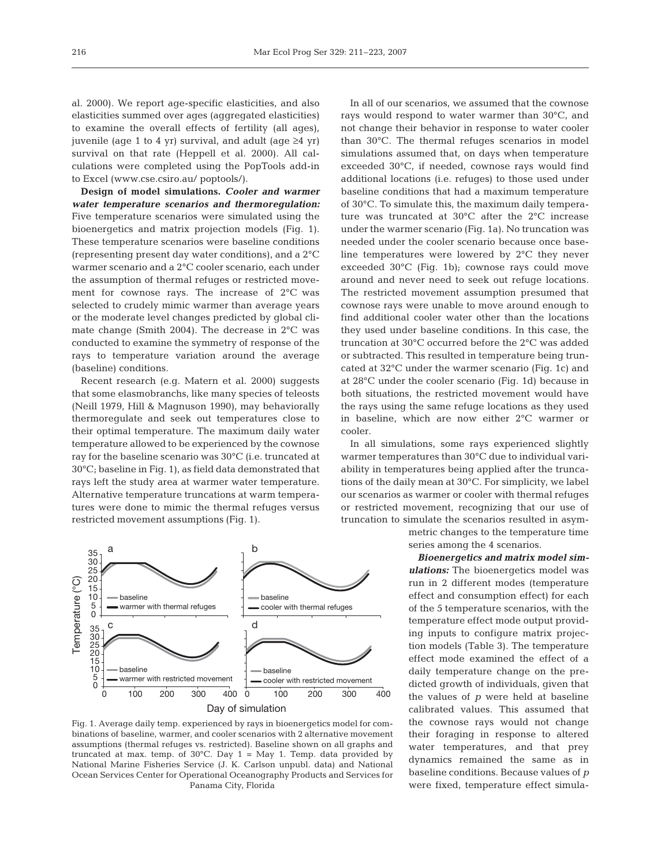cooler.

al. 2000). We report age-specific elasticities, and also elasticities summed over ages (aggregated elasticities) to examine the overall effects of fertility (all ages), juvenile (age 1 to 4 yr) survival, and adult (age  $\geq$ 4 yr) survival on that rate (Heppell et al. 2000). All calculations were completed using the PopTools add-in to Excel (www.cse.csiro.au/ poptools/).

**Design of model simulations.** *Cooler and warmer water temperature scenarios and thermoregulation:* Five temperature scenarios were simulated using the bioenergetics and matrix projection models (Fig. 1). These temperature scenarios were baseline conditions (representing present day water conditions), and a 2°C warmer scenario and a 2°C cooler scenario, each under the assumption of thermal refuges or restricted movement for cownose rays. The increase of 2°C was selected to crudely mimic warmer than average years or the moderate level changes predicted by global climate change (Smith 2004). The decrease in 2°C was conducted to examine the symmetry of response of the rays to temperature variation around the average (baseline) conditions.

Recent research (e.g. Matern et al. 2000) suggests that some elasmobranchs, like many species of teleosts (Neill 1979, Hill & Magnuson 1990), may behaviorally thermoregulate and seek out temperatures close to their optimal temperature. The maximum daily water temperature allowed to be experienced by the cownose ray for the baseline scenario was 30°C (i.e. truncated at 30°C; baseline in Fig. 1), as field data demonstrated that rays left the study area at warmer water temperature. Alternative temperature truncations at warm temperatures were done to mimic the thermal refuges versus restricted movement assumptions (Fig. 1).

In all of our scenarios, we assumed that the cownose rays would respond to water warmer than 30°C, and not change their behavior in response to water cooler than 30°C. The thermal refuges scenarios in model simulations assumed that, on days when temperature exceeded 30°C, if needed, cownose rays would find additional locations (i.e. refuges) to those used under baseline conditions that had a maximum temperature of 30°C. To simulate this, the maximum daily temperature was truncated at 30°C after the 2°C increase under the warmer scenario (Fig. 1a). No truncation was needed under the cooler scenario because once baseline temperatures were lowered by 2°C they never exceeded 30°C (Fig. 1b); cownose rays could move around and never need to seek out refuge locations. The restricted movement assumption presumed that cownose rays were unable to move around enough to find additional cooler water other than the locations they used under baseline conditions. In this case, the truncation at 30°C occurred before the 2°C was added or subtracted. This resulted in temperature being truncated at 32°C under the warmer scenario (Fig. 1c) and at 28°C under the cooler scenario (Fig. 1d) because in both situations, the restricted movement would have the rays using the same refuge locations as they used in baseline, which are now either 2°C warmer or

In all simulations, some rays experienced slightly warmer temperatures than 30°C due to individual variability in temperatures being applied after the truncations of the daily mean at 30°C. For simplicity, we label our scenarios as warmer or cooler with thermal refuges or restricted movement, recognizing that our use of truncation to simulate the scenarios resulted in asym-

metric changes to the temperature time series among the 4 scenarios.

*Bioenergetics and matrix model simulations:* The bioenergetics model was run in 2 different modes (temperature effect and consumption effect) for each of the 5 temperature scenarios, with the temperature effect mode output providing inputs to configure matrix projection models (Table 3). The temperature effect mode examined the effect of a daily temperature change on the predicted growth of individuals, given that the values of *p* were held at baseline calibrated values. This assumed that the cownose rays would not change their foraging in response to altered water temperatures, and that prey dynamics remained the same as in baseline conditions. Because values of *p* were fixed, temperature effect simula-



Fig. 1. Average daily temp. experienced by rays in bioenergetics model for combinations of baseline, warmer, and cooler scenarios with 2 alternative movement assumptions (thermal refuges vs. restricted). Baseline shown on all graphs and truncated at max. temp. of  $30^{\circ}$ C. Day 1 = May 1. Temp. data provided by National Marine Fisheries Service (J. K. Carlson unpubl. data) and National Ocean Services Center for Operational Oceanography Products and Services for Panama City, Florida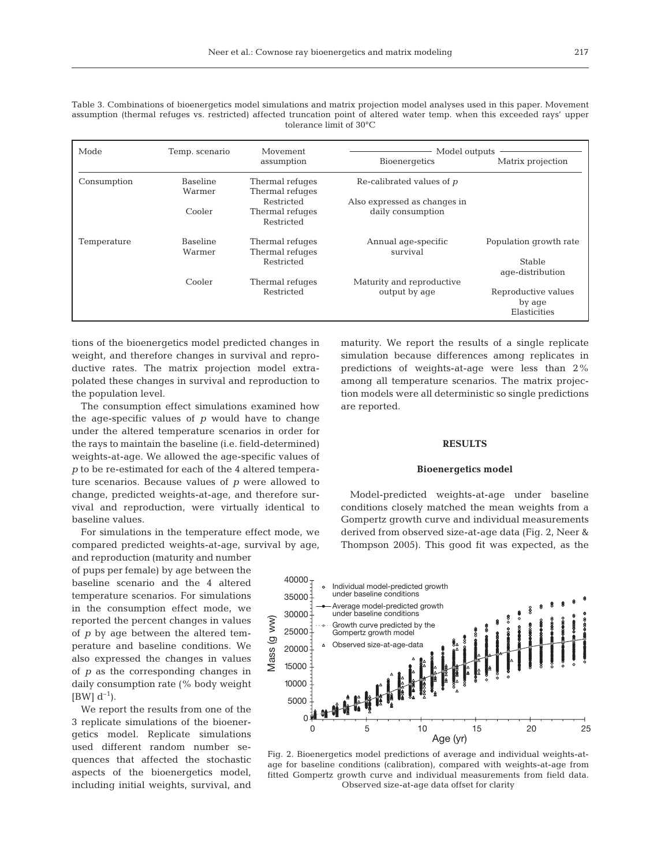|  |  | Table 3. Combinations of bioenergetics model simulations and matrix projection model analyses used in this paper. Movement  |                                   |  |  |  |  |
|--|--|-----------------------------------------------------------------------------------------------------------------------------|-----------------------------------|--|--|--|--|
|  |  | assumption (thermal refuges vs. restricted) affected truncation point of altered water temp, when this exceeded rays' upper |                                   |  |  |  |  |
|  |  |                                                                                                                             | tolerance limit of $30^{\circ}$ C |  |  |  |  |

| Mode        | Temp. scenario            | Movement                           | Model outputs                |                        |
|-------------|---------------------------|------------------------------------|------------------------------|------------------------|
|             |                           | assumption                         | Bioenergetics                | Matrix projection      |
| Consumption | <b>Baseline</b><br>Warmer | Thermal refuges<br>Thermal refuges | Re-calibrated values of $p$  |                        |
|             |                           | Restricted                         | Also expressed as changes in |                        |
|             | Cooler                    | Thermal refuges<br>Restricted      | daily consumption            |                        |
| Temperature | <b>Baseline</b>           | Thermal refuges                    | Annual age-specific          | Population growth rate |
|             | Warmer                    | Thermal refuges                    | survival                     |                        |
|             |                           | Restricted                         |                              | Stable                 |
|             |                           |                                    |                              | age-distribution       |
|             | Cooler                    | Thermal refuges                    | Maturity and reproductive    |                        |
|             |                           | Restricted                         | output by age                | Reproductive values    |
|             |                           |                                    |                              | by age                 |
|             |                           |                                    |                              | Elasticities           |

tions of the bioenergetics model predicted changes in weight, and therefore changes in survival and reproductive rates. The matrix projection model extrapolated these changes in survival and reproduction to the population level.

The consumption effect simulations examined how the age-specific values of *p* would have to change under the altered temperature scenarios in order for the rays to maintain the baseline (i.e. field-determined) weights-at-age. We allowed the age-specific values of *p* to be re-estimated for each of the 4 altered temperature scenarios. Because values of *p* were allowed to change, predicted weights-at-age, and therefore survival and reproduction, were virtually identical to baseline values.

For simulations in the temperature effect mode, we compared predicted weights-at-age, survival by age,

and reproduction (maturity and number of pups per female) by age between the baseline scenario and the 4 altered temperature scenarios. For simulations in the consumption effect mode, we reported the percent changes in values of *p* by age between the altered temperature and baseline conditions. We also expressed the changes in values of *p* as the corresponding changes in daily consumption rate (% body weight  $[BW] d^{-1}$ ).

We report the results from one of the 3 replicate simulations of the bioenergetics model. Replicate simulations used different random number sequences that affected the stochastic aspects of the bioenergetics model, including initial weights, survival, and

maturity. We report the results of a single replicate simulation because differences among replicates in predictions of weights-at-age were less than 2% among all temperature scenarios. The matrix projection models were all deterministic so single predictions are reported.

## **RESULTS**

#### **Bioenergetics model**

Model-predicted weights-at-age under baseline conditions closely matched the mean weights from a Gompertz growth curve and individual measurements derived from observed size-at-age data (Fig. 2, Neer & Thompson 2005). This good fit was expected, as the



Fig. 2. Bioenergetics model predictions of average and individual weights-atage for baseline conditions (calibration), compared with weights-at-age from fitted Gompertz growth curve and individual measurements from field data. Observed size-at-age data offset for clarity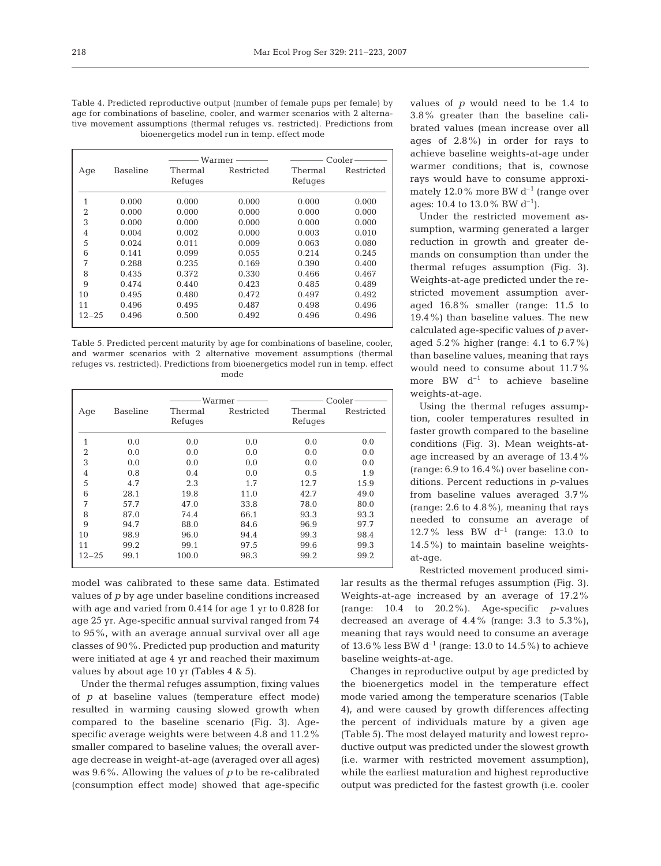Table 4. Predicted reproductive output (number of female pups per female) by age for combinations of baseline, cooler, and warmer scenarios with 2 alternative movement assumptions (thermal refuges vs. restricted). Predictions from bioenergetics model run in temp. effect mode

|                |          |         | Warmer -   |         | Cooler-    |
|----------------|----------|---------|------------|---------|------------|
| Age            | Baseline | Thermal | Restricted | Thermal | Restricted |
|                |          | Refuges |            | Refuges |            |
| 1              | 0.000    | 0.000   | 0.000      | 0.000   | 0.000      |
| $\overline{2}$ | 0.000    | 0.000   | 0.000      | 0.000   | 0.000      |
| 3              | 0.000    | 0.000   | 0.000      | 0.000   | 0.000      |
| 4              | 0.004    | 0.002   | 0.000      | 0.003   | 0.010      |
| 5              | 0.024    | 0.011   | 0.009      | 0.063   | 0.080      |
| 6              | 0.141    | 0.099   | 0.055      | 0.214   | 0.245      |
| 7              | 0.288    | 0.235   | 0.169      | 0.390   | 0.400      |
| 8              | 0.435    | 0.372   | 0.330      | 0.466   | 0.467      |
| 9              | 0.474    | 0.440   | 0.423      | 0.485   | 0.489      |
| 10             | 0.495    | 0.480   | 0.472      | 0.497   | 0.492      |
| 11             | 0.496    | 0.495   | 0.487      | 0.498   | 0.496      |
| $12 - 25$      | 0.496    | 0.500   | 0.492      | 0.496   | 0.496      |

Table 5. Predicted percent maturity by age for combinations of baseline, cooler, and warmer scenarios with 2 alternative movement assumptions (thermal refuges vs. restricted). Predictions from bioenergetics model run in temp. effect mode

|                |                 |                    | Warmer —   |                    | $Cooler-$  |
|----------------|-----------------|--------------------|------------|--------------------|------------|
| Age            | <b>Baseline</b> | Thermal<br>Refuges | Restricted | Thermal<br>Refuges | Restricted |
|                |                 |                    |            |                    |            |
| 1              | 0.0             | 0.0                | 0.0        | 0.0                | 0.0        |
| $\overline{2}$ | 0.0             | 0.0                | 0.0        | 0.0                | 0.0        |
| 3              | 0.0             | 0.0                | 0.0        | 0.0                | 0.0        |
| 4              | 0.8             | 0.4                | 0.0        | 0.5                | 1.9        |
| 5              | 4.7             | 2.3                | 1.7        | 12.7               | 15.9       |
| 6              | 28.1            | 19.8               | 11.0       | 42.7               | 49.0       |
| 7              | 57.7            | 47.0               | 33.8       | 78.0               | 80.0       |
| 8              | 87.0            | 74.4               | 66.1       | 93.3               | 93.3       |
| 9              | 94.7            | 88.0               | 84.6       | 96.9               | 97.7       |
| 10             | 98.9            | 96.0               | 94.4       | 99.3               | 98.4       |
| 11             | 99.2            | 99.1               | 97.5       | 99.6               | 99.3       |
| $12 - 25$      | 99.1            | 100.0              | 98.3       | 99.2               | 99.2       |

model was calibrated to these same data. Estimated values of *p* by age under baseline conditions increased with age and varied from 0.414 for age 1 yr to 0.828 for age 25 yr. Age-specific annual survival ranged from 74 to 95%, with an average annual survival over all age classes of 90%. Predicted pup production and maturity were initiated at age 4 yr and reached their maximum values by about age 10 yr (Tables 4 & 5).

Under the thermal refuges assumption, fixing values of *p* at baseline values (temperature effect mode) resulted in warming causing slowed growth when compared to the baseline scenario (Fig. 3). Agespecific average weights were between 4.8 and 11.2% smaller compared to baseline values; the overall average decrease in weight-at-age (averaged over all ages) was 9.6%. Allowing the values of *p* to be re-calibrated (consumption effect mode) showed that age-specific values of *p* would need to be 1.4 to 3.8% greater than the baseline calibrated values (mean increase over all ages of 2.8%) in order for rays to achieve baseline weights-at-age under warmer conditions; that is, cownose rays would have to consume approximately 12.0% more BW  $d^{-1}$  (range over ages: 10.4 to 13.0% BW  $d^{-1}$ ).

Under the restricted movement assumption, warming generated a larger reduction in growth and greater demands on consumption than under the thermal refuges assumption (Fig. 3). Weights-at-age predicted under the restricted movement assumption averaged 16.8% smaller (range: 11.5 to 19.4%) than baseline values. The new calculated age-specific values of *p* averaged 5.2% higher (range: 4.1 to 6.7%) than baseline values, meaning that rays would need to consume about 11.7% more BW  $d^{-1}$  to achieve baseline weights-at-age.

Using the thermal refuges assumption, cooler temperatures resulted in faster growth compared to the baseline conditions (Fig. 3). Mean weights-atage increased by an average of 13.4% (range: 6.9 to 16.4%) over baseline conditions. Percent reductions in *p*-values from baseline values averaged 3.7% (range: 2.6 to 4.8%), meaning that rays needed to consume an average of 12.7% less BW  $d^{-1}$  (range: 13.0 to 14.5%) to maintain baseline weightsat-age.

Restricted movement produced similar results as the thermal refuges assumption (Fig. 3). Weights-at-age increased by an average of 17.2% (range: 10.4 to 20.2%). Age-specific *p*-values decreased an average of  $4.4\%$  (range: 3.3 to  $5.3\%$ ), meaning that rays would need to consume an average of 13.6% less BW  $d^{-1}$  (range: 13.0 to 14.5%) to achieve baseline weights-at-age.

Changes in reproductive output by age predicted by the bioenergetics model in the temperature effect mode varied among the temperature scenarios (Table 4), and were caused by growth differences affecting the percent of individuals mature by a given age (Table 5). The most delayed maturity and lowest reproductive output was predicted under the slowest growth (i.e. warmer with restricted movement assumption), while the earliest maturation and highest reproductive output was predicted for the fastest growth (i.e. cooler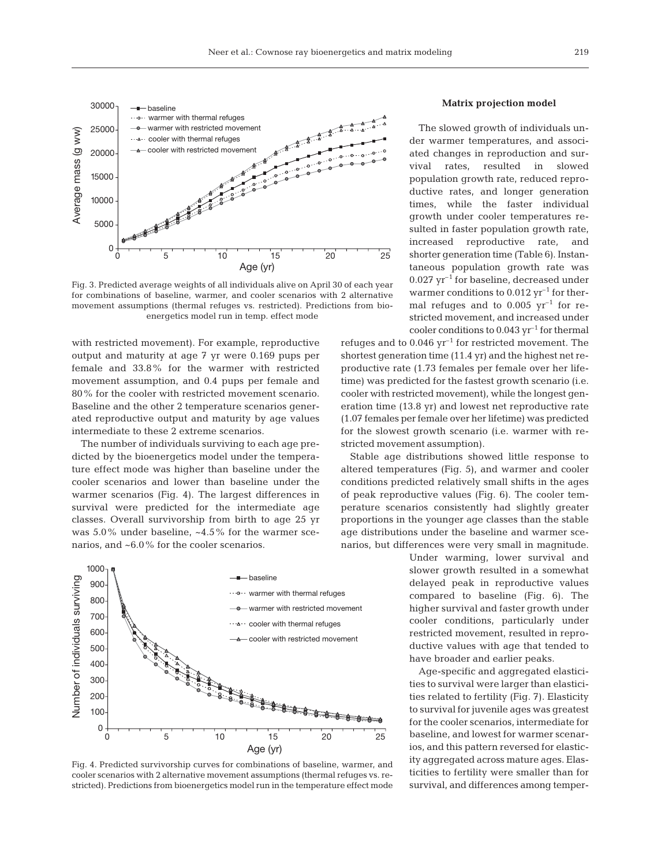

Fig. 3. Predicted average weights of all individuals alive on April 30 of each year for combinations of baseline, warmer, and cooler scenarios with 2 alternative movement assumptions (thermal refuges vs. restricted). Predictions from bioenergetics model run in temp. effect mode

with restricted movement). For example, reproductive output and maturity at age 7 yr were 0.169 pups per female and 33.8% for the warmer with restricted movement assumption, and 0.4 pups per female and 80% for the cooler with restricted movement scenario. Baseline and the other 2 temperature scenarios generated reproductive output and maturity by age values intermediate to these 2 extreme scenarios.

The number of individuals surviving to each age predicted by the bioenergetics model under the temperature effect mode was higher than baseline under the cooler scenarios and lower than baseline under the warmer scenarios (Fig. 4). The largest differences in survival were predicted for the intermediate age classes. Overall survivorship from birth to age 25 yr was 5.0% under baseline, ~4.5% for the warmer scenarios, and ~6.0% for the cooler scenarios.



Fig. 4. Predicted survivorship curves for combinations of baseline, warmer, and cooler scenarios with 2 alternative movement assumptions (thermal refuges vs. restricted). Predictions from bioenergetics model run in the temperature effect mode

## **Matrix projection model**

The slowed growth of individuals under warmer temperatures, and associated changes in reproduction and survival rates, resulted in slowed population growth rate, reduced reproductive rates, and longer generation times, while the faster individual growth under cooler temperatures resulted in faster population growth rate, increased reproductive rate, and shorter generation time (Table 6). Instantaneous population growth rate was  $0.027$  yr<sup>-1</sup> for baseline, decreased under warmer conditions to  $0.012$  yr<sup>-1</sup> for thermal refuges and to  $0.005$  yr<sup>-1</sup> for restricted movement, and increased under cooler conditions to  $0.043$  yr<sup>-1</sup> for thermal

refuges and to  $0.046$   $yr^{-1}$  for restricted movement. The shortest generation time (11.4 yr) and the highest net reproductive rate (1.73 females per female over her lifetime) was predicted for the fastest growth scenario (i.e. cooler with restricted movement), while the longest generation time (13.8 yr) and lowest net reproductive rate (1.07 females per female over her lifetime) was predicted for the slowest growth scenario (i.e. warmer with restricted movement assumption).

Stable age distributions showed little response to altered temperatures (Fig. 5), and warmer and cooler conditions predicted relatively small shifts in the ages of peak reproductive values (Fig. 6). The cooler temperature scenarios consistently had slightly greater proportions in the younger age classes than the stable age distributions under the baseline and warmer scenarios, but differences were very small in magnitude.

> Under warming, lower survival and slower growth resulted in a somewhat delayed peak in reproductive values compared to baseline (Fig. 6). The higher survival and faster growth under cooler conditions, particularly under restricted movement, resulted in reproductive values with age that tended to have broader and earlier peaks.

> Age-specific and aggregated elasticities to survival were larger than elasticities related to fertility (Fig. 7). Elasticity to survival for juvenile ages was greatest for the cooler scenarios, intermediate for baseline, and lowest for warmer scenarios, and this pattern reversed for elasticity aggregated across mature ages. Elasticities to fertility were smaller than for survival, and differences among temper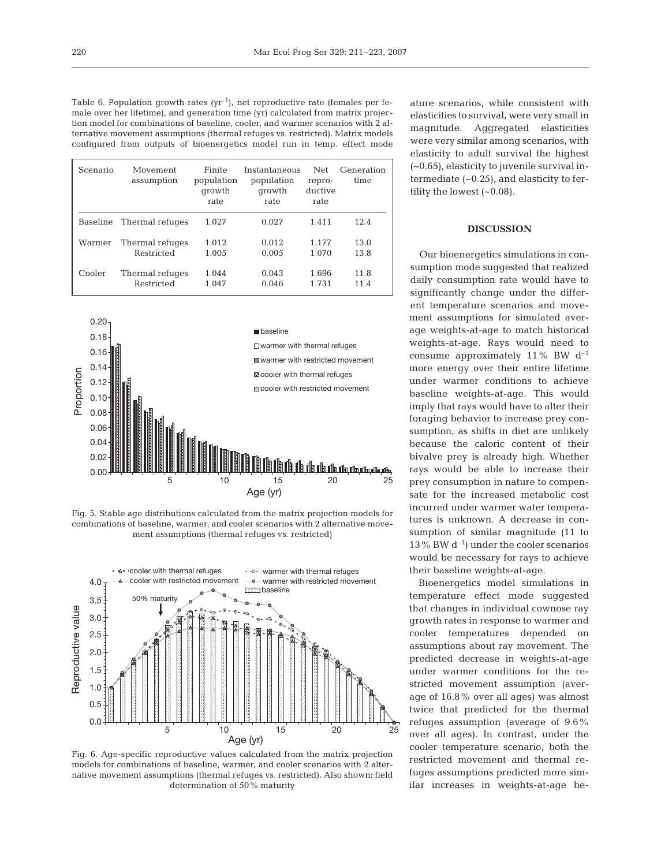Table 6. Population growth rates  $(yr^{-1})$ , net reproductive rate (females per female over her lifetime), and generation time (yr) calculated from matrix projection model for combinations of baseline, cooler, and warmer scenarios with 2 alternative movement assumptions (thermal refuges vs. restricted). Matrix models configured from outputs of bioenergetics model run in temp. effect mode

| Scenario | Movement<br>assumption   | Finite<br>population<br>growth<br>rate | Instantaneous<br>population<br>growth<br>rate | Net<br>repro-<br>ductive<br>rate | Generation<br>time |
|----------|--------------------------|----------------------------------------|-----------------------------------------------|----------------------------------|--------------------|
|          | Baseline Thermal refuges | 1.027                                  | 0.027                                         | 1.411                            | 12.4               |
| Warmer   | Thermal refuges          | 1.012                                  | 0.012                                         | 1.177                            | 13.0               |
|          | Restricted               | 1.005                                  | 0.005                                         | 1.070                            | 13.8               |
| Cooler   | Thermal refuges          | 1.044                                  | 0.043                                         | 1.696                            | 11.8               |
|          | Restricted               | 1.047                                  | 0.046                                         | 1.731                            | 11.4               |



Fig. 5. Stable age distributions calculated from the matrix projection models for combinations of baseline, warmer, and cooler scenarios with 2 alternative movement assumptions (thermal refuges vs. restricted)



Fig. 6. Age-specific reproductive values calculated from the matrix projection models for combinations of baseline, warmer, and cooler scenarios with 2 alternative movement assumptions (thermal refuges vs. restricted). Also shown: field determination of 50% maturity

ature scenarios, while consistent with elasticities to survival, were very small in magnitude. Aggregated elasticities were very similar among scenarios, with elasticity to adult survival the highest (~0.65), elasticity to juvenile survival intermediate (~0.25), and elasticity to fertility the lowest  $(-0.08)$ .

## **DISCUSSION**

Our bioenergetics simulations in consumption mode suggested that realized daily consumption rate would have to significantly change under the different temperature scenarios and movement assumptions for simulated average weights-at-age to match historical weights-at-age. Rays would need to consume approximately 11% BW  $d^{-1}$ more energy over their entire lifetime under warmer conditions to achieve baseline weights-at-age. This would imply that rays would have to alter their foraging behavior to increase prey consumption, as shifts in diet are unlikely because the caloric content of their bivalve prey is already high. Whether rays would be able to increase their prey consumption in nature to compensate for the increased metabolic cost incurred under warmer water temperatures is unknown. A decrease in consumption of similar magnitude (11 to 13 % BW  $d^{-1}$ ) under the cooler scenarios would be necessary for rays to achieve their baseline weights-at-age.

Bioenergetics model simulations in temperature effect mode suggested that changes in individual cownose ray growth rates in response to warmer and cooler temperatures depended on assumptions about ray movement. The predicted decrease in weights-at-age under warmer conditions for the restricted movement assumption (average of 16.8% over all ages) was almost twice that predicted for the thermal refuges assumption (average of 9.6% over all ages). In contrast, under the cooler temperature scenario, both the restricted movement and thermal refuges assumptions predicted more similar increases in weights-at-age be-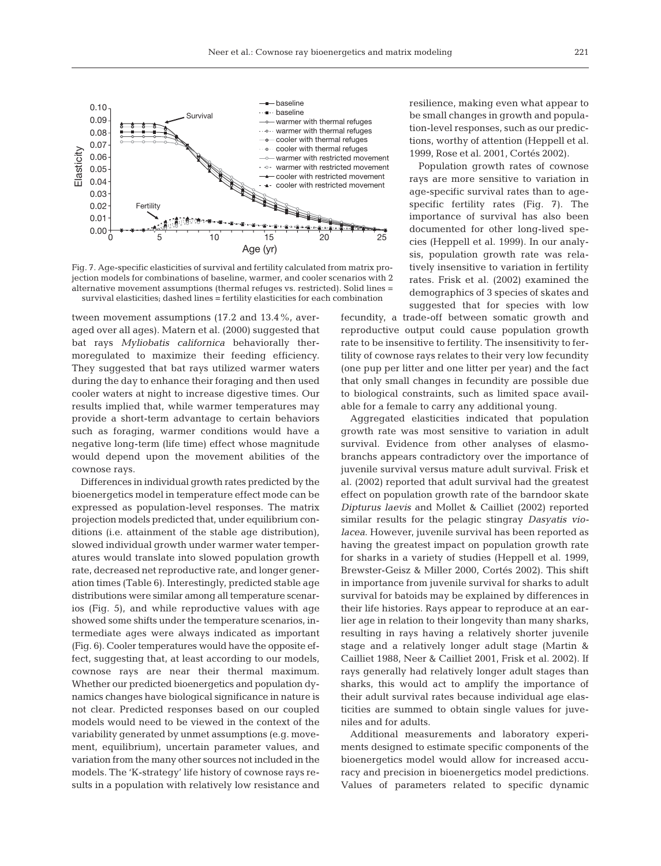

Fig. 7. Age-specific elasticities of survival and fertility calculated from matrix projection models for combinations of baseline, warmer, and cooler scenarios with 2 alternative movement assumptions (thermal refuges vs. restricted). Solid lines = survival elasticities; dashed lines = fertility elasticities for each combination

tween movement assumptions (17.2 and 13.4%, averaged over all ages). Matern et al. (2000) suggested that bat rays *Myliobatis californica* behaviorally thermoregulated to maximize their feeding efficiency. They suggested that bat rays utilized warmer waters during the day to enhance their foraging and then used cooler waters at night to increase digestive times. Our results implied that, while warmer temperatures may provide a short-term advantage to certain behaviors such as foraging, warmer conditions would have a negative long-term (life time) effect whose magnitude would depend upon the movement abilities of the cownose rays.

Differences in individual growth rates predicted by the bioenergetics model in temperature effect mode can be expressed as population-level responses. The matrix projection models predicted that, under equilibrium conditions (i.e. attainment of the stable age distribution), slowed individual growth under warmer water temperatures would translate into slowed population growth rate, decreased net reproductive rate, and longer generation times (Table 6). Interestingly, predicted stable age distributions were similar among all temperature scenarios (Fig. 5), and while reproductive values with age showed some shifts under the temperature scenarios, intermediate ages were always indicated as important (Fig. 6). Cooler temperatures would have the opposite effect, suggesting that, at least according to our models, cownose rays are near their thermal maximum. Whether our predicted bioenergetics and population dynamics changes have biological significance in nature is not clear. Predicted responses based on our coupled models would need to be viewed in the context of the variability generated by unmet assumptions (e.g. movement, equilibrium), uncertain parameter values, and variation from the many other sources not included in the models. The 'K-strategy' life history of cownose rays results in a population with relatively low resistance and

resilience, making even what appear to be small changes in growth and population-level responses, such as our predictions, worthy of attention (Heppell et al. 1999, Rose et al. 2001, Cortés 2002).

Population growth rates of cownose rays are more sensitive to variation in age-specific survival rates than to agespecific fertility rates (Fig. 7). The importance of survival has also been documented for other long-lived species (Heppell et al. 1999). In our analysis, population growth rate was relatively insensitive to variation in fertility rates. Frisk et al. (2002) examined the demographics of 3 species of skates and suggested that for species with low

fecundity, a trade-off between somatic growth and reproductive output could cause population growth rate to be insensitive to fertility. The insensitivity to fertility of cownose rays relates to their very low fecundity (one pup per litter and one litter per year) and the fact that only small changes in fecundity are possible due to biological constraints, such as limited space available for a female to carry any additional young.

Aggregated elasticities indicated that population growth rate was most sensitive to variation in adult survival. Evidence from other analyses of elasmobranchs appears contradictory over the importance of juvenile survival versus mature adult survival. Frisk et al. (2002) reported that adult survival had the greatest effect on population growth rate of the barndoor skate *Dipturus laevis* and Mollet & Cailliet (2002) reported similar results for the pelagic stingray *Dasyatis violacea*. However, juvenile survival has been reported as having the greatest impact on population growth rate for sharks in a variety of studies (Heppell et al. 1999, Brewster-Geisz & Miller 2000, Cortés 2002). This shift in importance from juvenile survival for sharks to adult survival for batoids may be explained by differences in their life histories. Rays appear to reproduce at an earlier age in relation to their longevity than many sharks, resulting in rays having a relatively shorter juvenile stage and a relatively longer adult stage (Martin & Cailliet 1988, Neer & Cailliet 2001, Frisk et al. 2002). If rays generally had relatively longer adult stages than sharks, this would act to amplify the importance of their adult survival rates because individual age elasticities are summed to obtain single values for juveniles and for adults.

Additional measurements and laboratory experiments designed to estimate specific components of the bioenergetics model would allow for increased accuracy and precision in bioenergetics model predictions. Values of parameters related to specific dynamic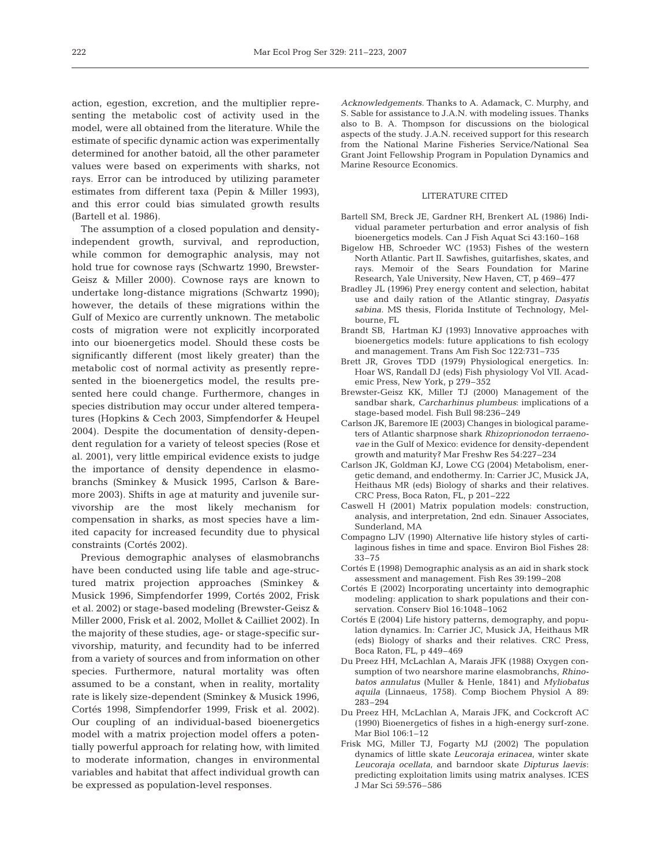action, egestion, excretion, and the multiplier representing the metabolic cost of activity used in the model, were all obtained from the literature. While the estimate of specific dynamic action was experimentally determined for another batoid*,* all the other parameter values were based on experiments with sharks, not rays. Error can be introduced by utilizing parameter estimates from different taxa (Pepin & Miller 1993), and this error could bias simulated growth results (Bartell et al. 1986).

The assumption of a closed population and densityindependent growth, survival, and reproduction, while common for demographic analysis, may not hold true for cownose rays (Schwartz 1990, Brewster-Geisz & Miller 2000). Cownose rays are known to undertake long-distance migrations (Schwartz 1990); however, the details of these migrations within the Gulf of Mexico are currently unknown. The metabolic costs of migration were not explicitly incorporated into our bioenergetics model. Should these costs be significantly different (most likely greater) than the metabolic cost of normal activity as presently represented in the bioenergetics model, the results presented here could change. Furthermore, changes in species distribution may occur under altered temperatures (Hopkins & Cech 2003, Simpfendorfer & Heupel 2004). Despite the documentation of density-dependent regulation for a variety of teleost species (Rose et al. 2001), very little empirical evidence exists to judge the importance of density dependence in elasmobranchs (Sminkey & Musick 1995, Carlson & Baremore 2003). Shifts in age at maturity and juvenile survivorship are the most likely mechanism for compensation in sharks, as most species have a limited capacity for increased fecundity due to physical constraints (Cortés 2002).

Previous demographic analyses of elasmobranchs have been conducted using life table and age-structured matrix projection approaches (Sminkey & Musick 1996, Simpfendorfer 1999, Cortés 2002, Frisk et al. 2002) or stage-based modeling (Brewster-Geisz & Miller 2000, Frisk et al. 2002, Mollet & Cailliet 2002). In the majority of these studies, age- or stage-specific survivorship, maturity, and fecundity had to be inferred from a variety of sources and from information on other species. Furthermore, natural mortality was often assumed to be a constant, when in reality, mortality rate is likely size-dependent (Sminkey & Musick 1996, Cortés 1998, Simpfendorfer 1999, Frisk et al. 2002). Our coupling of an individual-based bioenergetics model with a matrix projection model offers a potentially powerful approach for relating how, with limited to moderate information, changes in environmental variables and habitat that affect individual growth can be expressed as population-level responses.

*Acknowledgements.* Thanks to A. Adamack, C. Murphy, and S. Sable for assistance to J.A.N. with modeling issues. Thanks also to B. A. Thompson for discussions on the biological aspects of the study. J.A.N. received support for this research from the National Marine Fisheries Service/National Sea Grant Joint Fellowship Program in Population Dynamics and Marine Resource Economics.

#### LITERATURE CITED

- Bartell SM, Breck JE, Gardner RH, Brenkert AL (1986) Individual parameter perturbation and error analysis of fish bioenergetics models. Can J Fish Aquat Sci 43:160–168
- Bigelow HB, Schroeder WC (1953) Fishes of the western North Atlantic. Part II. Sawfishes, guitarfishes, skates, and rays. Memoir of the Sears Foundation for Marine Research, Yale University, New Haven, CT, p 469–477
- Bradley JL (1996) Prey energy content and selection, habitat use and daily ration of the Atlantic stingray, *Dasyatis sabina*. MS thesis, Florida Institute of Technology, Melbourne, FL
- Brandt SB, Hartman KJ (1993) Innovative approaches with bioenergetics models: future applications to fish ecology and management. Trans Am Fish Soc 122:731–735
- Brett JR, Groves TDD (1979) Physiological energetics. In: Hoar WS, Randall DJ (eds) Fish physiology Vol VII. Academic Press, New York, p 279–352
- Brewster-Geisz KK, Miller TJ (2000) Management of the sandbar shark, *Carcharhinus plumbeus*: implications of a stage-based model. Fish Bull 98:236–249
- Carlson JK, Baremore IE (2003) Changes in biological parameters of Atlantic sharpnose shark *Rhizoprionodon terraenovae* in the Gulf of Mexico: evidence for density-dependent growth and maturity? Mar Freshw Res 54:227–234
- Carlson JK, Goldman KJ, Lowe CG (2004) Metabolism, energetic demand, and endothermy. In: Carrier JC, Musick JA, Heithaus MR (eds) Biology of sharks and their relatives. CRC Press, Boca Raton, FL, p 201–222
- Caswell H (2001) Matrix population models: construction, analysis, and interpretation, 2nd edn. Sinauer Associates, Sunderland, MA
- Compagno LJV (1990) Alternative life history styles of cartilaginous fishes in time and space. Environ Biol Fishes 28: 33–75
- Cortés E (1998) Demographic analysis as an aid in shark stock assessment and management. Fish Res 39:199–208
- Cortés E (2002) Incorporating uncertainty into demographic modeling: application to shark populations and their conservation. Conserv Biol 16:1048–1062
- Cortés E (2004) Life history patterns, demography, and population dynamics. In: Carrier JC, Musick JA, Heithaus MR (eds) Biology of sharks and their relatives. CRC Press, Boca Raton, FL, p 449–469
- Du Preez HH, McLachlan A, Marais JFK (1988) Oxygen consumption of two nearshore marine elasmobranchs, *Rhinobatos annulatus* (Muller & Henle, 1841) and *Myliobatus aquila* (Linnaeus, 1758). Comp Biochem Physiol A 89: 283–294
- Du Preez HH, McLachlan A, Marais JFK, and Cockcroft AC (1990) Bioenergetics of fishes in a high-energy surf-zone. Mar Biol 106:1–12
- Frisk MG, Miller TJ, Fogarty MJ (2002) The population dynamics of little skate *Leucoraja erinacea*, winter skate *Leucoraja ocellata*, and barndoor skate *Dipturus laevis*: predicting exploitation limits using matrix analyses. ICES J Mar Sci 59:576–586